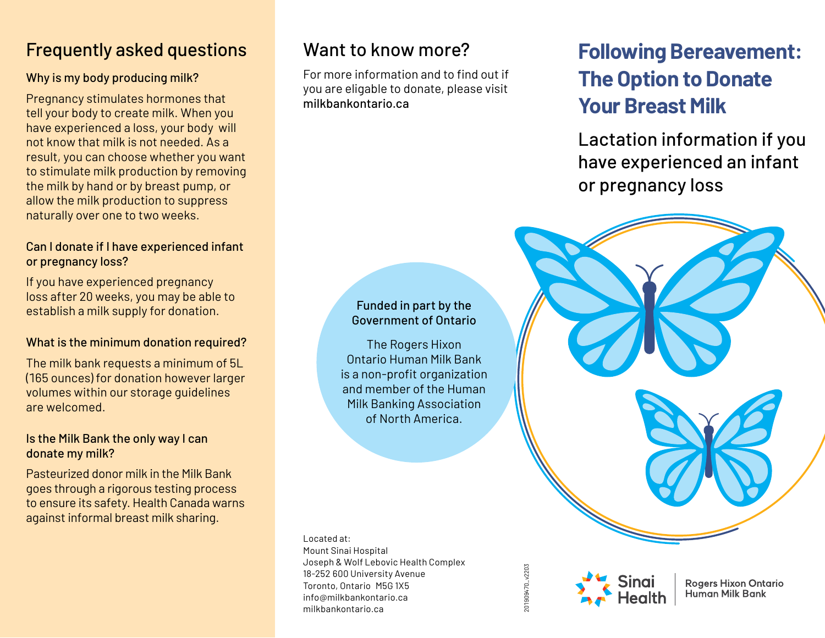## Frequently asked questions

### Why is my body producing milk?

Pregnancy stimulates hormones that tell your body to create milk. When you have experienced a loss, your body will not know that milk is not needed. As a result, you can choose whether you want to stimulate milk production by removing the milk by hand or by breast pump, or allow the milk production to suppress naturally over one to two weeks.

### Can I donate if I have experienced infant or pregnancy loss?

If you have experienced pregnancy loss after 20 weeks, you may be able to establish a milk supply for donation.

### What is the minimum donation required?

The milk bank requests a minimum of 5L (165 ounces) for donation however larger volumes within our storage guidelines are welcomed.

### Is the Milk Bank the only way I can donate my milk?

Pasteurized donor milk in the Milk Bank goes through a rigorous testing process to ensure its safety. Health Canada warns against informal breast milk sharing.

# Want to know more?

For more information and to find out if you are eligable to donate, please visit milkbankontario.ca

# **Following Bereavement: The Option to Donate Your Breast Milk**

Lactation information if you have experienced an infant or pregnancy loss

## Funded in part by the Government of Ontario

The Rogers Hixon Ontario Human Milk Bank is a non-profit organization and member of the Human Milk Banking Association of North America.

Located at: Mount Sinai Hospital Joseph & Wolf Lebovic Health Complex 18-252 600 University Avenue Toronto, Ontario M5G 1X5 info@milkbankontario.ca milkbankontario.ca

201909470\_v2203 201909470\_v2203



**Rogers Hixon Ontario Human Milk Bank**